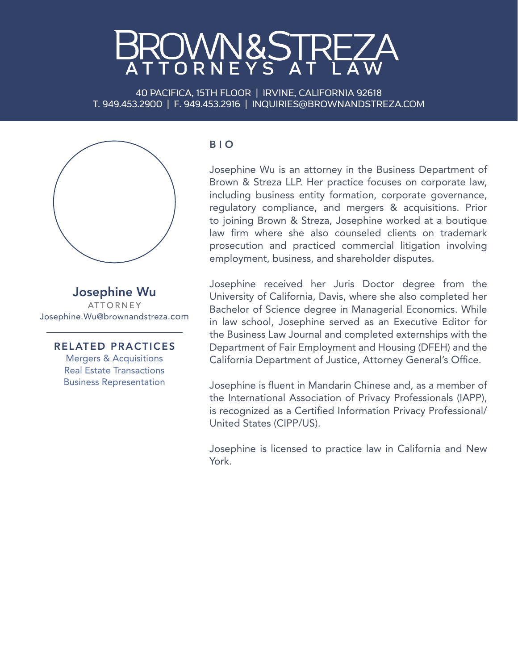## MN&STF

40 PACIFICA, 15TH FLOOR | IRVINE, CALIFORNIA 92618 T. 949.453.2900 | F. 949.453.2916 | INQUIRIES@BROWNANDSTREZA.COM



Josephine Wu ATTORNEY Josephine.Wu@brownandstreza.com

RELATED PRACTICES Mergers & Acquisitions Real Estate Transactions Business Representation

## B I O

Josephine Wu is an attorney in the Business Department of Brown & Streza LLP. Her practice focuses on corporate law, including business entity formation, corporate governance, regulatory compliance, and mergers & acquisitions. Prior to joining Brown & Streza, Josephine worked at a boutique law firm where she also counseled clients on trademark prosecution and practiced commercial litigation involving employment, business, and shareholder disputes.

Josephine received her Juris Doctor degree from the University of California, Davis, where she also completed her Bachelor of Science degree in Managerial Economics. While in law school, Josephine served as an Executive Editor for the Business Law Journal and completed externships with the Department of Fair Employment and Housing (DFEH) and the California Department of Justice, Attorney General's Office.

Josephine is fluent in Mandarin Chinese and, as a member of the International Association of Privacy Professionals (IAPP), is recognized as a Certified Information Privacy Professional/ United States (CIPP/US).

Josephine is licensed to practice law in California and New York.